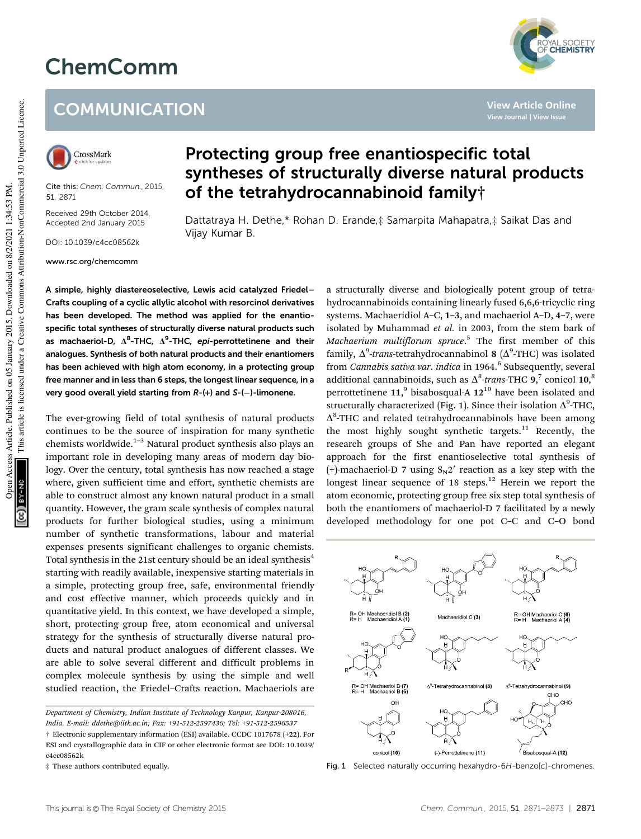## ChemComm



**View Article Online**

## **COMMUNICATION**



Cite this: *Chem. Commun.,* 2015, 51, 2871

Received 29th October 2014, Accepted 2nd January 2015

DOI: 10.1039/c4cc08562k

www.rsc.org/chemcomm

## Protecting group free enantiospecific total syntheses of structurally diverse natural products of the tetrahydrocannabinoid family†

Dattatraya H. Dethe,\* Rohan D. Erande,‡ Samarpita Mahapatra,‡ Saikat Das and Vijay Kumar B.

A simple, highly diastereoselective, Lewis acid catalyzed Friedel– Crafts coupling of a cyclic allylic alcohol with resorcinol derivatives has been developed. The method was applied for the enantiospecific total syntheses of structurally diverse natural products such as machaeriol-D,  $\Delta^8$ -THC,  $\Delta^9$ -THC, epi-perrottetinene and their analogues. Synthesis of both natural products and their enantiomers has been achieved with high atom economy, in a protecting group free manner and in less than 6 steps, the longest linear sequence, in a very good overall yield starting from  $R-(+)$  and  $S-(-)$ -limonene.

The ever-growing field of total synthesis of natural products continues to be the source of inspiration for many synthetic chemists worldwide.<sup>1-3</sup> Natural product synthesis also plays an important role in developing many areas of modern day biology. Over the century, total synthesis has now reached a stage where, given sufficient time and effort, synthetic chemists are able to construct almost any known natural product in a small quantity. However, the gram scale synthesis of complex natural products for further biological studies, using a minimum number of synthetic transformations, labour and material expenses presents significant challenges to organic chemists. Total synthesis in the 21st century should be an ideal synthesis<sup>4</sup> starting with readily available, inexpensive starting materials in a simple, protecting group free, safe, environmental friendly and cost effective manner, which proceeds quickly and in quantitative yield. In this context, we have developed a simple, short, protecting group free, atom economical and universal strategy for the synthesis of structurally diverse natural products and natural product analogues of different classes. We are able to solve several different and difficult problems in complex molecule synthesis by using the simple and well studied reaction, the Friedel–Crafts reaction. Machaeriols are

a structurally diverse and biologically potent group of tetrahydrocannabinoids containing linearly fused 6,6,6-tricyclic ring systems. Machaeridiol A–C, 1–3, and machaeriol A–D, 4–7, were isolated by Muhammad *et al.* in 2003, from the stem bark of *Machaerium multiflorum spruce*. 5 The first member of this family, Δ<sup>9</sup>-trans-tetrahydrocannabinol 8 (Δ<sup>9</sup>-THC) was isolated from *Cannabis sativa var. indica* in 1964.<sup>6</sup> Subsequently, several additional cannabinoids, such as  $\Delta^8$ -trans-THC **9**,<sup>7</sup> conicol **10**,<sup>8</sup> perrottetinene  $11$ , bisabosqual-A  $12^{10}$  have been isolated and structurally characterized (Fig. 1). Since their isolation  $\Delta^9$ -THC,  $\Delta^8$ -THC and related tetrahydrocannabinols have been among the most highly sought synthetic targets. $11$  Recently, the research groups of She and Pan have reported an elegant approach for the first enantioselective total synthesis of (+)-machaeriol-D 7 using  $S_N 2'$  reaction as a key step with the longest linear sequence of 18 steps.<sup>12</sup> Herein we report the atom economic, protecting group free six step total synthesis of both the enantiomers of machaeriol-D 7 facilitated by a newly developed methodology for one pot C–C and C–O bond



Fig. 1 Selected naturally occurring hexahydro-6H-benzo[c]-chromenes.

*Department of Chemistry, Indian Institute of Technology Kanpur, Kanpur-208016, India. E-mail: ddethe@iitk.ac.in; Fax:* +*91-512-2597436; Tel:* +*91-512-2596537* † Electronic supplementary information (ESI) available. CCDC 1017678 (+22). For ESI and crystallographic data in CIF or other electronic format see DOI: 10.1039/ c4cc08562k

<sup>‡</sup> These authors contributed equally.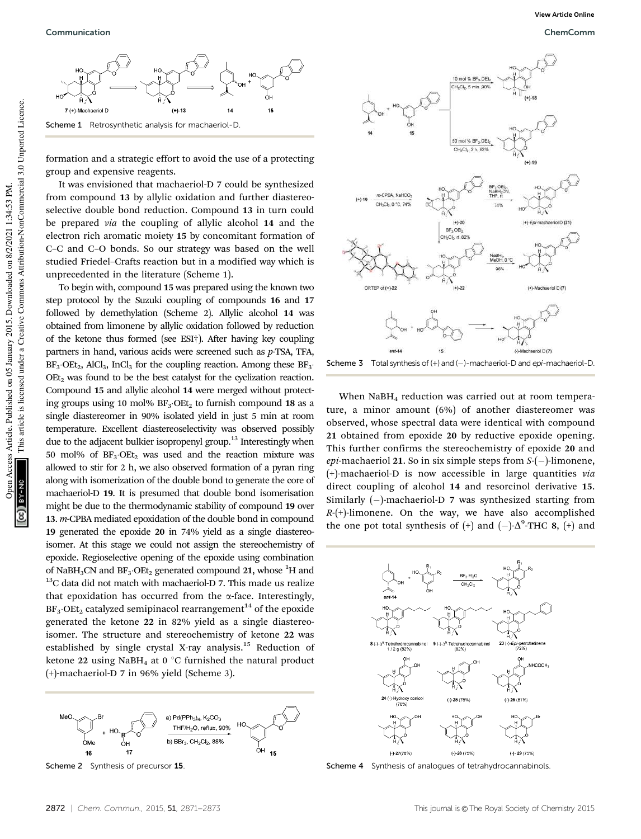

formation and a strategic effort to avoid the use of a protecting group and expensive reagents.

It was envisioned that machaeriol-D 7 could be synthesized from compound 13 by allylic oxidation and further diastereoselective double bond reduction. Compound 13 in turn could be prepared *via* the coupling of allylic alcohol 14 and the electron rich aromatic moiety 15 by concomitant formation of C–C and C–O bonds. So our strategy was based on the well studied Friedel–Crafts reaction but in a modified way which is unprecedented in the literature (Scheme 1).

To begin with, compound 15 was prepared using the known two step protocol by the Suzuki coupling of compounds 16 and 17 followed by demethylation (Scheme 2). Allylic alcohol 14 was obtained from limonene by allylic oxidation followed by reduction of the ketone thus formed (see ESI†). After having key coupling partners in hand, various acids were screened such as *p*-TSA, TFA,  $BF_3 \cdot OEt_2$ , AlCl<sub>3</sub>, InCl<sub>3</sub> for the coupling reaction. Among these  $BF_3 \cdot$  $OEt<sub>2</sub>$  was found to be the best catalyst for the cyclization reaction. Compound 15 and allylic alcohol 14 were merged without protecting groups using 10 mol%  $BF_3$  OEt<sub>2</sub> to furnish compound 18 as a single diastereomer in 90% isolated yield in just 5 min at room temperature. Excellent diastereoselectivity was observed possibly due to the adjacent bulkier isopropenyl group.<sup>13</sup> Interestingly when 50 mol% of  $BF_3$  $OEt_2$  was used and the reaction mixture was allowed to stir for 2 h, we also observed formation of a pyran ring along with isomerization of the double bond to generate the core of machaeriol-D 19. It is presumed that double bond isomerisation might be due to the thermodynamic stability of compound 19 over 13. *m*-CPBA mediated epoxidation of the double bond in compound 19 generated the epoxide 20 in 74% yield as a single diastereoisomer. At this stage we could not assign the stereochemistry of epoxide. Regioselective opening of the epoxide using combination of NaBH<sub>3</sub>CN and  $BF_3$ ·OEt<sub>2</sub> generated compound 21, whose <sup>1</sup>H and  $13$ C data did not match with machaeriol-D 7. This made us realize that epoxidation has occurred from the  $\alpha$ -face. Interestingly,  $BF_3$  $OEt_2$  catalyzed semipinacol rearrangement<sup>14</sup> of the epoxide generated the ketone 22 in 82% yield as a single diastereoisomer. The structure and stereochemistry of ketone 22 was established by single crystal X-ray analysis.<sup>15</sup> Reduction of ketone 22 using NaBH<sub>4</sub> at 0  $\degree$ C furnished the natural product (+)-machaeriol-D 7 in 96% yield (Scheme 3).



Scheme 2 Synthesis of precursor 15



When NaBH<sub>4</sub> reduction was carried out at room temperature, a minor amount (6%) of another diastereomer was observed, whose spectral data were identical with compound 21 obtained from epoxide 20 by reductive epoxide opening. This further confirms the stereochemistry of epoxide 20 and epi-machaeriol 21. So in six simple steps from *S*-(-)-limonene, (+)-machaeriol-D is now accessible in large quantities *via* direct coupling of alcohol 14 and resorcinol derivative 15. Similarly (-)-machaeriol-D 7 was synthesized starting from *R*-(+)-limonene. On the way, we have also accomplished the one pot total synthesis of  $(+)$  and  $(-)$ - $\Delta^9$ -THC 8,  $(+)$  and



Scheme 4 Synthesis of analogues of tetrahydrocannabinols